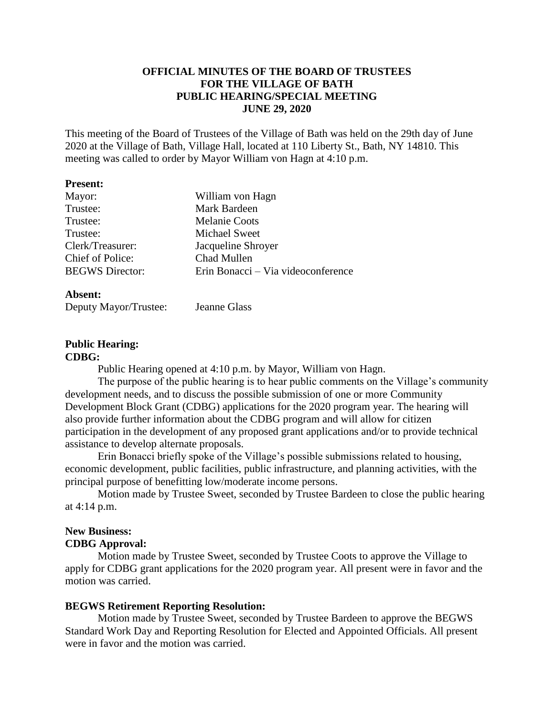# **OFFICIAL MINUTES OF THE BOARD OF TRUSTEES FOR THE VILLAGE OF BATH PUBLIC HEARING/SPECIAL MEETING JUNE 29, 2020**

This meeting of the Board of Trustees of the Village of Bath was held on the 29th day of June 2020 at the Village of Bath, Village Hall, located at 110 Liberty St., Bath, NY 14810. This meeting was called to order by Mayor William von Hagn at 4:10 p.m.

#### **Present:**

| Mayor:                 | William von Hagn                   |
|------------------------|------------------------------------|
| Trustee:               | Mark Bardeen                       |
| Trustee:               | <b>Melanie Coots</b>               |
| Trustee:               | Michael Sweet                      |
| Clerk/Treasurer:       | Jacqueline Shroyer                 |
| Chief of Police:       | Chad Mullen                        |
| <b>BEGWS</b> Director: | Erin Bonacci – Via videoconference |
|                        |                                    |

#### **Absent:**

| Deputy Mayor/Trustee: | <b>Jeanne Glass</b> |
|-----------------------|---------------------|
|-----------------------|---------------------|

# **Public Hearing:**

## **CDBG:**

Public Hearing opened at 4:10 p.m. by Mayor, William von Hagn.

The purpose of the public hearing is to hear public comments on the Village's community development needs, and to discuss the possible submission of one or more Community Development Block Grant (CDBG) applications for the 2020 program year. The hearing will also provide further information about the CDBG program and will allow for citizen participation in the development of any proposed grant applications and/or to provide technical assistance to develop alternate proposals.

Erin Bonacci briefly spoke of the Village's possible submissions related to housing, economic development, public facilities, public infrastructure, and planning activities, with the principal purpose of benefitting low/moderate income persons.

Motion made by Trustee Sweet, seconded by Trustee Bardeen to close the public hearing at 4:14 p.m.

# **New Business:**

#### **CDBG Approval:**

Motion made by Trustee Sweet, seconded by Trustee Coots to approve the Village to apply for CDBG grant applications for the 2020 program year. All present were in favor and the motion was carried.

# **BEGWS Retirement Reporting Resolution:**

Motion made by Trustee Sweet, seconded by Trustee Bardeen to approve the BEGWS Standard Work Day and Reporting Resolution for Elected and Appointed Officials. All present were in favor and the motion was carried.